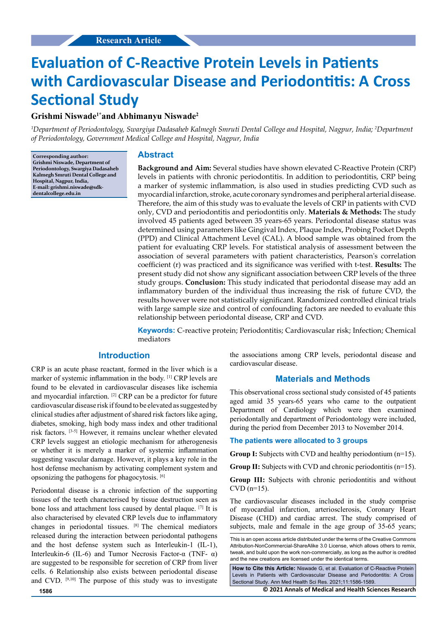# **Evaluation of C-Reactive Protein Levels in Patients with Cardiovascular Disease and Periodontitis: A Cross Sectional Study**

## **Grishmi Niswade1\*and Abhimanyu Niswade2**

*1 Department of Periodontology, Swargiya Dadasaheb Kalmegh Smruti Dental College and Hospital, Nagpur, India; 2 Department of Periodontology, Government Medical College and Hospital, Nagpur, India*

**Corresponding author: Grishmi Niswade, Department of Periodontology, Swargiya Dadasaheb Kalmegh Smruti Dental College and Hospital, Nagpur, India, E-mail: grishmi.niswade@sdkdentalcollege.edu.in**

## **Abstract**

**Background and Aim:** Several studies have shown elevated C-Reactive Protein (CRP) levels in patients with chronic periodontitis. In addition to periodontitis, CRP being a marker of systemic inflammation, is also used in studies predicting CVD such as myocardial infarction, stroke, acute coronary syndromes and peripheral arterial disease. Therefore, the aim of this study was to evaluate the levels of CRP in patients with CVD only, CVD and periodontitis and periodontitis only. **Materials & Methods:** The study involved 45 patients aged between 35 years-65 years. Periodontal disease status was determined using parameters like Gingival Index, Plaque Index, Probing Pocket Depth (PPD) and Clinical Attachment Level (CAL). A blood sample was obtained from the patient for evaluating CRP levels. For statistical analysis of assessment between the association of several parameters with patient characteristics, Pearson's correlation coefficient (r) was practiced and its significance was verified with t-test. **Results:** The present study did not show any significant association between CRP levels of the three study groups. **Conclusion:** This study indicated that periodontal disease may add an inflammatory burden of the individual thus increasing the risk of future CVD, the results however were not statistically significant. Randomized controlled clinical trials with large sample size and control of confounding factors are needed to evaluate this relationship between periodontal disease, CRP and CVD.

**Keywords:** C-reactive protein; Periodontitis; Cardiovascular risk; Infection; Chemical mediators

## **Introduction**

CRP is an acute phase reactant, formed in the liver which is a marker of systemic inflammation in the body. [1] CRP levels are found to be elevated in cardiovascular diseases like ischemia and myocardial infarction. [2] CRP can be a predictor for future cardiovascular disease risk if found to be elevated as suggested by clinical studies after adjustment of shared risk factors like aging, diabetes, smoking, high body mass index and other traditional risk factors. [3-5] However, it remains unclear whether elevated CRP levels suggest an etiologic mechanism for atherogenesis or whether it is merely a marker of systemic inflammation suggesting vascular damage. However, it plays a key role in the host defense mechanism by activating complement system and opsonizing the pathogens for phagocytosis. [6]

Periodontal disease is a chronic infection of the supporting tissues of the teeth characterised by tissue destruction seen as bone loss and attachment loss caused by dental plaque. [7] It is also characterised by elevated CRP levels due to inflammatory changes in periodontal tissues. [8] The chemical mediators released during the interaction between periodontal pathogens and the host defense system such as Interleukin-1 (IL-1), Interleukin-6 (IL-6) and Tumor Necrosis Factor-α (TNF-  $\alpha$ ) are suggested to be responsible for secretion of CRP from liver cells. 6 Relationship also exists between periodontal disease and CVD. [9,10] The purpose of this study was to investigate the associations among CRP levels, periodontal disease and cardiovascular disease.

#### **Materials and Methods**

This observational cross sectional study consisted of 45 patients aged amid 35 years-65 years who came to the outpatient Department of Cardiology which were then examined periodontally and department of Periodontology were included, during the period from December 2013 to November 2014.

#### **The patients were allocated to 3 groups**

**Group I:** Subjects with CVD and healthy periodontium (n=15).

**Group II:** Subjects with CVD and chronic periodontitis (n=15).

**Group III:** Subjects with chronic periodontitis and without  $CVD$  (n=15).

The cardiovascular diseases included in the study comprise of myocardial infarction, arteriosclerosis, Coronary Heart Disease (CHD) and cardiac arrest. The study comprised of subjects, male and female in the age group of 35-65 years;

**How to Cite this Article:** Niswade G, et al. Evaluation of C-Reactive Protein Levels in Patients with Cardiovascular Disease and Periodontitis: A Cross Sectional Study. Ann Med Health Sci Res. 2021;11:1586-1589.

**1586 © 2021 Annals of Medical and Health Sciences Research** 

This is an open access article distributed under the terms of the Creative Commons Attribution-NonCommercial-ShareAlike 3.0 License, which allows others to remix, tweak, and build upon the work non‑commercially, as long as the author is credited and the new creations are licensed under the identical terms.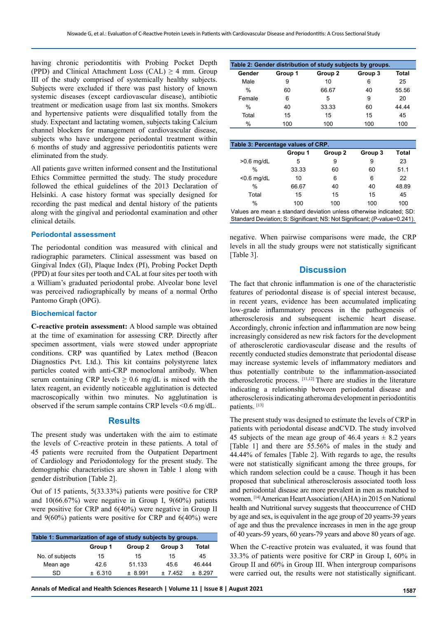having chronic periodontitis with Probing Pocket Depth (PPD) and Clinical Attachment Loss (CAL)  $\geq$  4 mm. Group III of the study comprised of systemically healthy subjects. Subjects were excluded if there was past history of known systemic diseases (except cardiovascular disease), antibiotic treatment or medication usage from last six months. Smokers and hypertensive patients were disqualified totally from the study. Expectant and lactating women, subjects taking Calcium channel blockers for management of cardiovascular disease, subjects who have undergone periodontal treatment within 6 months of study and aggressive periodontitis patients were eliminated from the study.

All patients gave written informed consent and the Institutional Ethics Committee permitted the study. The study procedure followed the ethical guidelines of the 2013 Declaration of Helsinki. A case history format was specially designed for recording the past medical and dental history of the patients along with the gingival and periodontal examination and other clinical details.

#### **Periodontal assessment**

The periodontal condition was measured with clinical and radiographic parameters. Clinical assessment was based on Gingival Index (GI), Plaque Index (PI), Probing Pocket Depth (PPD) at four sites per tooth and CAL at four sites per tooth with a William's graduated periodontal probe. Alveolar bone level was perceived radiographically by means of a normal Ortho Pantomo Graph (OPG).

#### **Biochemical factor**

**C-reactive protein assessment:** A blood sample was obtained at the time of examination for assessing CRP. Directly after specimen assortment, vials were stowed under appropriate conditions. CRP was quantified by Latex method (Beacon Diagnostics Pvt. Ltd.). This kit contains polystyrene latex particles coated with anti-CRP monoclonal antibody. When serum containing CRP levels  $\geq 0.6$  mg/dL is mixed with the latex reagent, an evidently noticeable agglutination is detected macroscopically within two minutes. No agglutination is observed if the serum sample contains CRP levels <0.6 mg/dL.

#### **Results**

The present study was undertaken with the aim to estimate the levels of C-reactive protein in these patients. A total of 45 patients were recruited from the Outpatient Department of Cardiology and Periodontology for the present study. The demographic characteristics are shown in Table 1 along with gender distribution [Table 2].

Out of 15 patients, 5(33.33%) patients were positive for CRP and 10(66.67%) were negative in Group I, 9(60%) patients were positive for CRP and 6(40%) were negative in Group II and 9(60%) patients were positive for CRP and 6(40%) were

| Table 1: Summarization of age of study subjects by groups. |         |         |          |          |  |  |  |  |
|------------------------------------------------------------|---------|---------|----------|----------|--|--|--|--|
|                                                            | Group 1 | Group 2 | Group 3  | Total    |  |  |  |  |
| No. of subjects                                            | 15      | 15      | 15       | 45       |  |  |  |  |
| Mean age                                                   | 426     | 51.133  | 45.6     | 46.444   |  |  |  |  |
| SD                                                         | ± 6.310 | ± 8.991 | $+ 7452$ | $+8.297$ |  |  |  |  |

| Table 2: Gender distribution of study subjects by groups. |         |         |         |       |  |  |  |
|-----------------------------------------------------------|---------|---------|---------|-------|--|--|--|
| Gender                                                    | Group 1 | Group 2 | Group 3 | Total |  |  |  |
| Male                                                      | 9       | 10      | 6       | 25    |  |  |  |
| $\frac{0}{0}$                                             | 60      | 66.67   | 40      | 55.56 |  |  |  |
| Female                                                    | 6       | 5       | 9       | 20    |  |  |  |
| $\%$                                                      | 40      | 33.33   | 60      | 44 44 |  |  |  |
| Total                                                     | 15      | 15      | 15      | 45    |  |  |  |
| $\%$                                                      | 100     | 100     | 100     | 100   |  |  |  |

| Table 3: Percentage values of CRP.                                   |         |                    |         |              |  |  |  |
|----------------------------------------------------------------------|---------|--------------------|---------|--------------|--|--|--|
|                                                                      | Gropu 1 | Group <sub>2</sub> | Group 3 | <b>Total</b> |  |  |  |
| $>0.6$ mg/dL                                                         | 5       | 9                  | 9       | 23           |  |  |  |
| %                                                                    | 33.33   | 60                 | 60      | 51.1         |  |  |  |
| $< 0.6$ mg/dL                                                        | 10      | 6                  | 6       | 22           |  |  |  |
| $\%$                                                                 | 66.67   | 40                 | 40      | 48.89        |  |  |  |
| Total                                                                | 15      | 15                 | 15      | 45           |  |  |  |
| $\%$                                                                 | 100     | 100                | 100     | 100          |  |  |  |
| Values are mean ± standard deviation unless otherwise indicated; SD: |         |                    |         |              |  |  |  |

Standard Deviation; S: Significant; NS: Not Significant; (P-value=0.241).

negative. When pairwise comparisons were made, the CRP levels in all the study groups were not statistically significant [Table 3].

## **Discussion**

The fact that chronic inflammation is one of the characteristic features of periodontal disease is of special interest because, in recent years, evidence has been accumulated implicating low-grade inflammatory process in the pathogenesis of atherosclerosis and subsequent ischemic heart disease. Accordingly, chronic infection and inflammation are now being increasingly considered as new risk factors for the development of atherosclerotic cardiovascular disease and the results of recently conducted studies demonstrate that periodontal disease may increase systemic levels of inflammatory mediators and thus potentially contribute to the inflammation-associated atherosclerotic process. [11,12] There are studies in the literature indicating a relationship between periodontal disease and atherosclerosis indicating atheroma development in periodontitis patients. [13]

The present study was designed to estimate the levels of CRP in patients with periodontal disease andCVD. The study involved 45 subjects of the mean age group of 46.4 years  $\pm$  8.2 years [Table 1] and there are 55.56% of males in the study and 44.44% of females [Table 2]. With regards to age, the results were not statistically significant among the three groups, for which random selection could be a cause. Though it has been proposed that subclinical atherosclerosis associated tooth loss and periodontal disease are more prevalent in men as matched to women. [14] American Heart Association (AHA) in 2015 on National health and Nutritional survey suggests that theoccurrence of CHD by age and sex, is equivalent in the age group of 20 yearrs-39 years of age and thus the prevalence increases in men in the age group of 40 years-59 years, 60 years-79 years and above 80 years of age.

When the C-reactive protein was evaluated, it was found that 33.3% of patients were positive for CRP in Group I, 60% in Group II and 60% in Group III. When intergroup comparisons were carried out, the results were not statistically significant.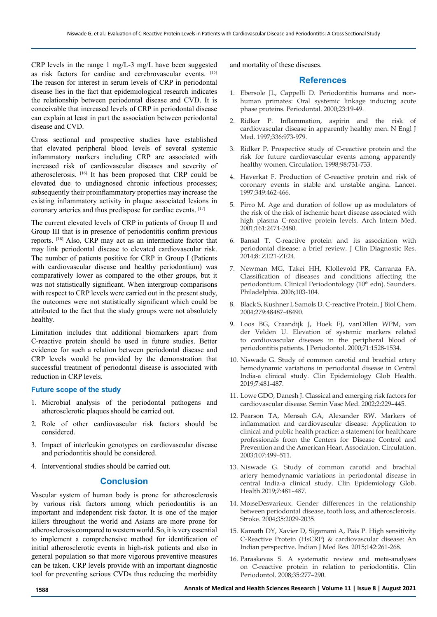CRP levels in the range 1 mg/L-3 mg/L have been suggested as risk factors for cardiac and cerebrovascular events. [15] The reason for interest in serum levels of CRP in periodontal disease lies in the fact that epidemiological research indicates the relationship between periodontal disease and CVD. It is conceivable that increased levels of CRP in periodontal disease can explain at least in part the association between periodontal disease and CVD.

Cross sectional and prospective studies have established that elevated peripheral blood levels of several systemic inflammatory markers including CRP are associated with increased risk of cardiovascular diseases and severity of atherosclerosis. [16] It has been proposed that CRP could be elevated due to undiagnosed chronic infectious processes; subsequently their proinflammatory properties may increase the existing inflammatory activity in plaque associated lesions in coronary arteries and thus predispose for cardiac events. [17]

The current elevated levels of CRP in patients of Group II and Group III that is in presence of periodontitis confirm previous reports. [18] Also, CRP may act as an intermediate factor that may link periodontal disease to elevated cardiovascular risk. The number of patients positive for CRP in Group I (Patients with cardiovascular disease and healthy periodontium) was comparatively lower as compared to the other groups, but it was not statistically significant. When intergroup comparisons with respect to CRP levels were carried out in the present study, the outcomes were not statistically significant which could be attributed to the fact that the study groups were not absolutely healthy.

Limitation includes that additional biomarkers apart from C-reactive protein should be used in future studies. Better evidence for such a relation between periodontal disease and CRP levels would be provided by the demonstration that successful treatment of periodontal disease is associated with reduction in CRP levels.

#### **Future scope of the study**

- 1. Microbial analysis of the periodontal pathogens and atherosclerotic plaques should be carried out.
- 2. Role of other cardiovascular risk factors should be considered.
- 3. Impact of interleukin genotypes on cardiovascular disease and periodontitis should be considered.
- 4. Interventional studies should be carried out.

#### **Conclusion**

Vascular system of human body is prone for atherosclerosis by various risk factors among which periodontitis is an important and independent risk factor. It is one of the major killers throughout the world and Asians are more prone for atherosclerosis compared to western world. So, it is very essential to implement a comprehensive method for identification of initial atherosclerotic events in high-risk patients and also in general population so that more vigorous preventive measures can be taken. CRP levels provide with an important diagnostic tool for preventing serious CVDs thus reducing the morbidity

and mortality of these diseases.

## **References**

- 1. Ebersole JL, Cappelli D. Periodontitis humans and nonhuman primates: Oral systemic linkage inducing acute phase proteins. Periodontal. 2000;23:19-49.
- 2. Ridker P. Inflammation, aspirin and the risk of cardiovascular disease in apparently healthy men. N Engl J Med. 1997;336:973-979.
- 3. Ridker P. Prospective study of C-reactive protein and the risk for future cardiovascular events among apparently healthy women. Circulation. 1998;98:731-733.
- 4. Haverkat F. Production of C-reactive protein and risk of coronary events in stable and unstable angina. Lancet. 1997;349:462-466.
- 5. Pirro M. Age and duration of follow up as modulators of the risk of the risk of ischemic heart disease associated with high plasma C-reactive protein levels. Arch Intern Med. 2001;161:2474-2480.
- 6. Bansal T. C-reactive protein and its association with periodontal disease: a brief review. J Clin Diagnostic Res. 2014;8: ZE21-ZE24.
- 7. Newman MG, Takei HH, Klollevold PR, Carranza FA. Classification of diseases and conditions affecting the periodontium. Clinical Periodontology (10<sup>th</sup> edn). Saunders. Philadelphia. 2006;103-104.
- 8. Black S, Kushner I, Samols D. C-reactive Protein. J Biol Chem. 2004;279:48487-48490.
- 9. Loos BG, Craandijk J, Hoek FJ, vanDillen WPM, van der Velden U. Elevation of systemic markers related to cardiovascular diseases in the peripheral blood of periodontitis patients. J Periodontol. 2000;71:1528-1534.
- 10. Niswade G. Study of common carotid and brachial artery hemodynamic variations in periodontal disease in Central India-a clinical study. Clin Epidemiology Glob Health. 2019;7:481-487.
- 11. Lowe GDO, Danesh J. Classical and emerging risk factors for cardiovascular disease. Semin Vasc Med. 2002;2:229–445.
- 12. Pearson TA, Mensah GA, Alexander RW. Markers of inflammation and cardiovascular disease: Application to clinical and public health practice: a statement for healthcare professionals from the Centers for Disease Control and Prevention and the American Heart Association. Circulation. 2003;107:499–511.
- 13. Niswade G. Study of common carotid and brachial artery hemodynamic variations in periodontal disease in central India-a clinical study. Clin Epidemiology Glob. Health.2019;7:481–487.
- 14. MoıseDesvarieux. Gender differences in the relationship between periodontal disease, tooth loss, and atherosclerosis. Stroke. 2004;35:2029-2035.
- 15. Kamath DY, Xavier D, Sigamani A, Pais P. High sensitivity C-Reactive Protein (HsCRP) & cardiovascular disease: An Indian perspective. Indian J Med Res. 2015;142:261-268.
- 16. Paraskevas S. A systematic review and meta-analyses on C-reactive protein in relation to periodontitis. Clin Periodontol. 2008;35:277–290.